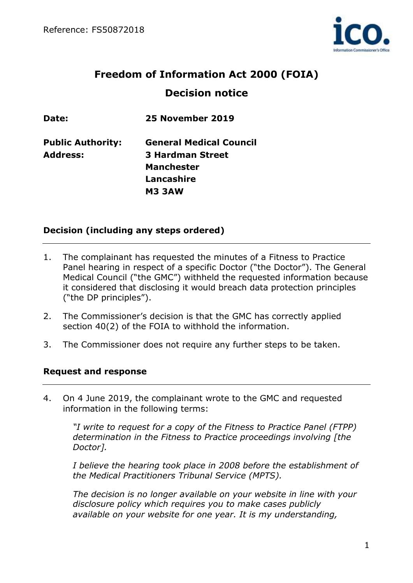

# **Freedom of Information Act 2000 (FOIA) Decision notice**

**Date: 25 November 2019**

**Public Authority: General Medical Council Address: 3 Hardman Street Manchester Lancashire M3 3AW**

# **Decision (including any steps ordered)**

- 1. The complainant has requested the minutes of a Fitness to Practice Panel hearing in respect of a specific Doctor ("the Doctor"). The General Medical Council ("the GMC") withheld the requested information because it considered that disclosing it would breach data protection principles ("the DP principles").
- 2. The Commissioner's decision is that the GMC has correctly applied section 40(2) of the FOIA to withhold the information.
- 3. The Commissioner does not require any further steps to be taken.

#### **Request and response**

4. On 4 June 2019, the complainant wrote to the GMC and requested information in the following terms:

*"I write to request for a copy of the Fitness to Practice Panel (FTPP) determination in the Fitness to Practice proceedings involving [the Doctor].* 

*I believe the hearing took place in 2008 before the establishment of the Medical Practitioners Tribunal Service (MPTS).* 

*The decision is no longer available on your website in line with your disclosure policy which requires you to make cases publicly available on your website for one year. It is my understanding,*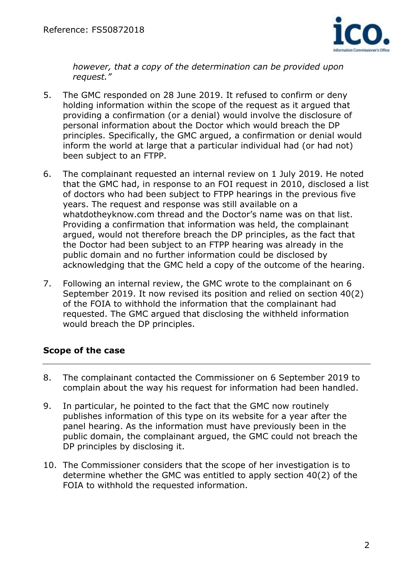

*however, that a copy of the determination can be provided upon request."*

- 5. The GMC responded on 28 June 2019. It refused to confirm or deny holding information within the scope of the request as it argued that providing a confirmation (or a denial) would involve the disclosure of personal information about the Doctor which would breach the DP principles. Specifically, the GMC argued, a confirmation or denial would inform the world at large that a particular individual had (or had not) been subject to an FTPP.
- 6. The complainant requested an internal review on 1 July 2019. He noted that the GMC had, in response to an FOI request in 2010, disclosed a list of doctors who had been subject to FTPP hearings in the previous five years. The request and response was still available on a whatdotheyknow.com thread and the Doctor's name was on that list. Providing a confirmation that information was held, the complainant argued, would not therefore breach the DP principles, as the fact that the Doctor had been subject to an FTPP hearing was already in the public domain and no further information could be disclosed by acknowledging that the GMC held a copy of the outcome of the hearing.
- 7. Following an internal review, the GMC wrote to the complainant on 6 September 2019. It now revised its position and relied on section 40(2) of the FOIA to withhold the information that the complainant had requested. The GMC argued that disclosing the withheld information would breach the DP principles.

# **Scope of the case**

- 8. The complainant contacted the Commissioner on 6 September 2019 to complain about the way his request for information had been handled.
- 9. In particular, he pointed to the fact that the GMC now routinely publishes information of this type on its website for a year after the panel hearing. As the information must have previously been in the public domain, the complainant argued, the GMC could not breach the DP principles by disclosing it.
- 10. The Commissioner considers that the scope of her investigation is to determine whether the GMC was entitled to apply section 40(2) of the FOIA to withhold the requested information.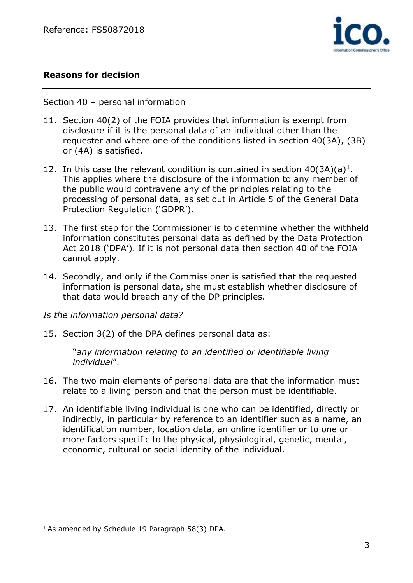

# **Reasons for decision**

#### Section 40 – personal information

- 11. Section 40(2) of the FOIA provides that information is exempt from disclosure if it is the personal data of an individual other than the requester and where one of the conditions listed in section 40(3A), (3B) or (4A) is satisfied.
- 12. In this case the relevant condition is contained in section  $40(3A)(a)^1$ . This applies where the disclosure of the information to any member of the public would contravene any of the principles relating to the processing of personal data, as set out in Article 5 of the General Data Protection Regulation ('GDPR').
- 13. The first step for the Commissioner is to determine whether the withheld information constitutes personal data as defined by the Data Protection Act 2018 ('DPA'). If it is not personal data then section 40 of the FOIA cannot apply.
- 14. Secondly, and only if the Commissioner is satisfied that the requested information is personal data, she must establish whether disclosure of that data would breach any of the DP principles.

#### *Is the information personal data?*

15. Section 3(2) of the DPA defines personal data as:

"*any information relating to an identified or identifiable living individual*".

- 16. The two main elements of personal data are that the information must relate to a living person and that the person must be identifiable.
- 17. An identifiable living individual is one who can be identified, directly or indirectly, in particular by reference to an identifier such as a name, an identification number, location data, an online identifier or to one or more factors specific to the physical, physiological, genetic, mental, economic, cultural or social identity of the individual.

 $\overline{a}$ 

 $1$  As amended by Schedule 19 Paragraph 58(3) DPA.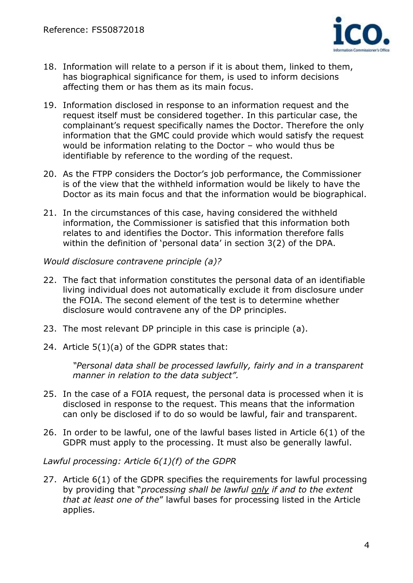

- 18. Information will relate to a person if it is about them, linked to them, has biographical significance for them, is used to inform decisions affecting them or has them as its main focus.
- 19. Information disclosed in response to an information request and the request itself must be considered together. In this particular case, the complainant's request specifically names the Doctor. Therefore the only information that the GMC could provide which would satisfy the request would be information relating to the Doctor – who would thus be identifiable by reference to the wording of the request.
- 20. As the FTPP considers the Doctor's job performance, the Commissioner is of the view that the withheld information would be likely to have the Doctor as its main focus and that the information would be biographical.
- 21. In the circumstances of this case, having considered the withheld information, the Commissioner is satisfied that this information both relates to and identifies the Doctor. This information therefore falls within the definition of 'personal data' in section 3(2) of the DPA.

*Would disclosure contravene principle (a)?*

- 22. The fact that information constitutes the personal data of an identifiable living individual does not automatically exclude it from disclosure under the FOIA. The second element of the test is to determine whether disclosure would contravene any of the DP principles.
- 23. The most relevant DP principle in this case is principle (a).
- 24. Article 5(1)(a) of the GDPR states that:

*"Personal data shall be processed lawfully, fairly and in a transparent manner in relation to the data subject".*

- 25. In the case of a FOIA request, the personal data is processed when it is disclosed in response to the request. This means that the information can only be disclosed if to do so would be lawful, fair and transparent.
- 26. In order to be lawful, one of the lawful bases listed in Article 6(1) of the GDPR must apply to the processing. It must also be generally lawful.

*Lawful processing: Article 6(1)(f) of the GDPR*

27. Article 6(1) of the GDPR specifies the requirements for lawful processing by providing that "*processing shall be lawful only if and to the extent that at least one of the*" lawful bases for processing listed in the Article applies.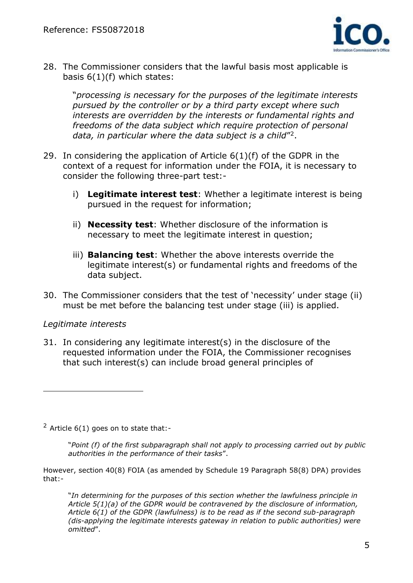

28. The Commissioner considers that the lawful basis most applicable is basis  $6(1)(f)$  which states:

"*processing is necessary for the purposes of the legitimate interests pursued by the controller or by a third party except where such interests are overridden by the interests or fundamental rights and freedoms of the data subject which require protection of personal*  data, in particular where the data subject is a child"<sup>2</sup>.

- 29. In considering the application of Article 6(1)(f) of the GDPR in the context of a request for information under the FOIA, it is necessary to consider the following three-part test:
	- i) **Legitimate interest test**: Whether a legitimate interest is being pursued in the request for information;
	- ii) **Necessity test**: Whether disclosure of the information is necessary to meet the legitimate interest in question;
	- iii) **Balancing test**: Whether the above interests override the legitimate interest(s) or fundamental rights and freedoms of the data subject.
- 30. The Commissioner considers that the test of 'necessity' under stage (ii) must be met before the balancing test under stage (iii) is applied.

#### *Legitimate interests*

 $\overline{a}$ 

31. In considering any legitimate interest(s) in the disclosure of the requested information under the FOIA, the Commissioner recognises that such interest(s) can include broad general principles of

 $2$  Article 6(1) goes on to state that:-

"*Point (f) of the first subparagraph shall not apply to processing carried out by public authorities in the performance of their tasks*".

However, section 40(8) FOIA (as amended by Schedule 19 Paragraph 58(8) DPA) provides that:-

"*In determining for the purposes of this section whether the lawfulness principle in Article 5(1)(a) of the GDPR would be contravened by the disclosure of information, Article 6(1) of the GDPR (lawfulness) is to be read as if the second sub-paragraph (dis-applying the legitimate interests gateway in relation to public authorities) were omitted*".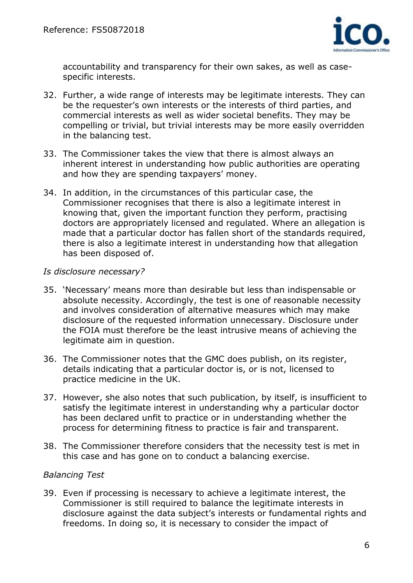

accountability and transparency for their own sakes, as well as casespecific interests.

- 32. Further, a wide range of interests may be legitimate interests. They can be the requester's own interests or the interests of third parties, and commercial interests as well as wider societal benefits. They may be compelling or trivial, but trivial interests may be more easily overridden in the balancing test.
- 33. The Commissioner takes the view that there is almost always an inherent interest in understanding how public authorities are operating and how they are spending taxpayers' money.
- 34. In addition, in the circumstances of this particular case, the Commissioner recognises that there is also a legitimate interest in knowing that, given the important function they perform, practising doctors are appropriately licensed and regulated. Where an allegation is made that a particular doctor has fallen short of the standards required, there is also a legitimate interest in understanding how that allegation has been disposed of.

#### *Is disclosure necessary?*

- 35. 'Necessary' means more than desirable but less than indispensable or absolute necessity. Accordingly, the test is one of reasonable necessity and involves consideration of alternative measures which may make disclosure of the requested information unnecessary. Disclosure under the FOIA must therefore be the least intrusive means of achieving the legitimate aim in question.
- 36. The Commissioner notes that the GMC does publish, on its register, details indicating that a particular doctor is, or is not, licensed to practice medicine in the UK.
- 37. However, she also notes that such publication, by itself, is insufficient to satisfy the legitimate interest in understanding why a particular doctor has been declared unfit to practice or in understanding whether the process for determining fitness to practice is fair and transparent.
- 38. The Commissioner therefore considers that the necessity test is met in this case and has gone on to conduct a balancing exercise.

#### *Balancing Test*

39. Even if processing is necessary to achieve a legitimate interest, the Commissioner is still required to balance the legitimate interests in disclosure against the data subject's interests or fundamental rights and freedoms. In doing so, it is necessary to consider the impact of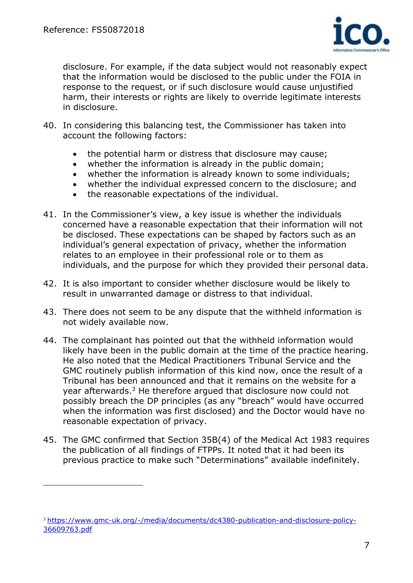$\overline{a}$ 



disclosure. For example, if the data subject would not reasonably expect that the information would be disclosed to the public under the FOIA in response to the request, or if such disclosure would cause unjustified harm, their interests or rights are likely to override legitimate interests in disclosure.

- 40. In considering this balancing test, the Commissioner has taken into account the following factors:
	- the potential harm or distress that disclosure may cause;
	- whether the information is already in the public domain;
	- whether the information is already known to some individuals;
	- whether the individual expressed concern to the disclosure; and
	- the reasonable expectations of the individual.
- 41. In the Commissioner's view, a key issue is whether the individuals concerned have a reasonable expectation that their information will not be disclosed. These expectations can be shaped by factors such as an individual's general expectation of privacy, whether the information relates to an employee in their professional role or to them as individuals, and the purpose for which they provided their personal data.
- 42. It is also important to consider whether disclosure would be likely to result in unwarranted damage or distress to that individual.
- 43. There does not seem to be any dispute that the withheld information is not widely available now.
- 44. The complainant has pointed out that the withheld information would likely have been in the public domain at the time of the practice hearing. He also noted that the Medical Practitioners Tribunal Service and the GMC routinely publish information of this kind now, once the result of a Tribunal has been announced and that it remains on the website for a year afterwards.<sup>3</sup> He therefore argued that disclosure now could not possibly breach the DP principles (as any "breach" would have occurred when the information was first disclosed) and the Doctor would have no reasonable expectation of privacy.
- 45. The GMC confirmed that Section 35B(4) of the Medical Act 1983 requires the publication of all findings of FTPPs. It noted that it had been its previous practice to make such "Determinations" available indefinitely.

<sup>3</sup> [https://www.gmc-uk.org/-/media/documents/dc4380-publication-and-disclosure-policy-](https://www.gmc-uk.org/-/media/documents/dc4380-publication-and-disclosure-policy-36609763.pdf)[36609763.pdf](https://www.gmc-uk.org/-/media/documents/dc4380-publication-and-disclosure-policy-36609763.pdf)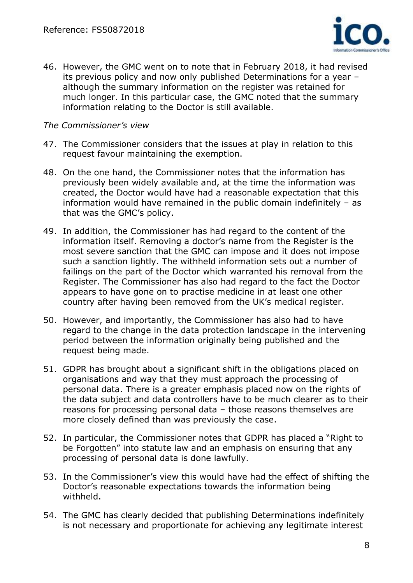

46. However, the GMC went on to note that in February 2018, it had revised its previous policy and now only published Determinations for a year – although the summary information on the register was retained for much longer. In this particular case, the GMC noted that the summary information relating to the Doctor is still available.

#### *The Commissioner's view*

- 47. The Commissioner considers that the issues at play in relation to this request favour maintaining the exemption.
- 48. On the one hand, the Commissioner notes that the information has previously been widely available and, at the time the information was created, the Doctor would have had a reasonable expectation that this information would have remained in the public domain indefinitely – as that was the GMC's policy.
- 49. In addition, the Commissioner has had regard to the content of the information itself. Removing a doctor's name from the Register is the most severe sanction that the GMC can impose and it does not impose such a sanction lightly. The withheld information sets out a number of failings on the part of the Doctor which warranted his removal from the Register. The Commissioner has also had regard to the fact the Doctor appears to have gone on to practise medicine in at least one other country after having been removed from the UK's medical register.
- 50. However, and importantly, the Commissioner has also had to have regard to the change in the data protection landscape in the intervening period between the information originally being published and the request being made.
- 51. GDPR has brought about a significant shift in the obligations placed on organisations and way that they must approach the processing of personal data. There is a greater emphasis placed now on the rights of the data subject and data controllers have to be much clearer as to their reasons for processing personal data – those reasons themselves are more closely defined than was previously the case.
- 52. In particular, the Commissioner notes that GDPR has placed a "Right to be Forgotten" into statute law and an emphasis on ensuring that any processing of personal data is done lawfully.
- 53. In the Commissioner's view this would have had the effect of shifting the Doctor's reasonable expectations towards the information being withheld.
- 54. The GMC has clearly decided that publishing Determinations indefinitely is not necessary and proportionate for achieving any legitimate interest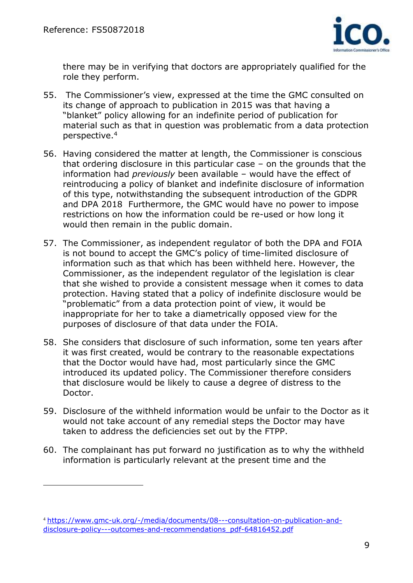$\overline{a}$ 



there may be in verifying that doctors are appropriately qualified for the role they perform.

- 55. The Commissioner's view, expressed at the time the GMC consulted on its change of approach to publication in 2015 was that having a "blanket" policy allowing for an indefinite period of publication for material such as that in question was problematic from a data protection perspective.<sup>4</sup>
- 56. Having considered the matter at length, the Commissioner is conscious that ordering disclosure in this particular case – on the grounds that the information had *previously* been available – would have the effect of reintroducing a policy of blanket and indefinite disclosure of information of this type, notwithstanding the subsequent introduction of the GDPR and DPA 2018 Furthermore, the GMC would have no power to impose restrictions on how the information could be re-used or how long it would then remain in the public domain.
- 57. The Commissioner, as independent regulator of both the DPA and FOIA is not bound to accept the GMC's policy of time-limited disclosure of information such as that which has been withheld here. However, the Commissioner, as the independent regulator of the legislation is clear that she wished to provide a consistent message when it comes to data protection. Having stated that a policy of indefinite disclosure would be "problematic" from a data protection point of view, it would be inappropriate for her to take a diametrically opposed view for the purposes of disclosure of that data under the FOIA.
- 58. She considers that disclosure of such information, some ten years after it was first created, would be contrary to the reasonable expectations that the Doctor would have had, most particularly since the GMC introduced its updated policy. The Commissioner therefore considers that disclosure would be likely to cause a degree of distress to the Doctor.
- 59. Disclosure of the withheld information would be unfair to the Doctor as it would not take account of any remedial steps the Doctor may have taken to address the deficiencies set out by the FTPP.
- 60. The complainant has put forward no justification as to why the withheld information is particularly relevant at the present time and the

<sup>4</sup> [https://www.gmc-uk.org/-/media/documents/08---consultation-on-publication-and](https://www.gmc-uk.org/-/media/documents/08---consultation-on-publication-and-disclosure-policy---outcomes-and-recommendations_pdf-64816452.pdf)[disclosure-policy---outcomes-and-recommendations\\_pdf-64816452.pdf](https://www.gmc-uk.org/-/media/documents/08---consultation-on-publication-and-disclosure-policy---outcomes-and-recommendations_pdf-64816452.pdf)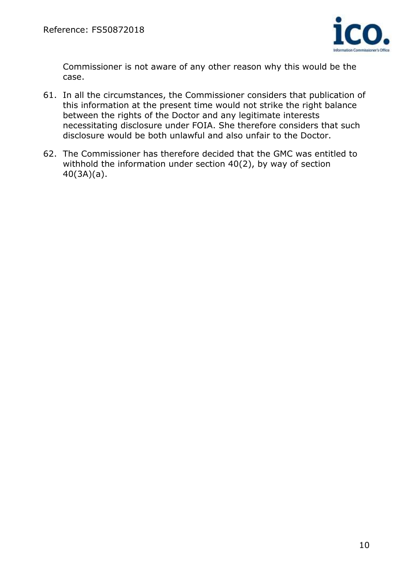

Commissioner is not aware of any other reason why this would be the case.

- 61. In all the circumstances, the Commissioner considers that publication of this information at the present time would not strike the right balance between the rights of the Doctor and any legitimate interests necessitating disclosure under FOIA. She therefore considers that such disclosure would be both unlawful and also unfair to the Doctor.
- 62. The Commissioner has therefore decided that the GMC was entitled to withhold the information under section 40(2), by way of section 40(3A)(a).